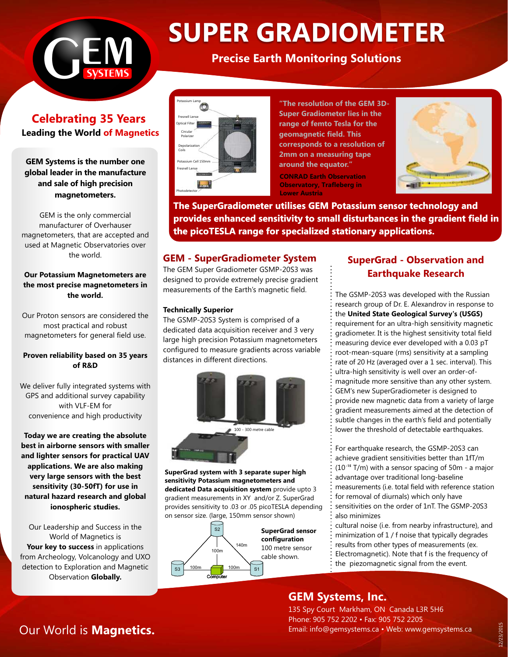

# **SUPER GRADIOMETER**<br>**Precise Earth Monitoring Solutions**

**Celebrating 35 Years Leading the World of Magnetics** 

**GEM Systems is the number one global leader in the manufacture and sale of high precision magnetometers.**

GEM is the only commercial manufacturer of Overhauser magnetometers, that are accepted and used at Magnetic Observatories over the world.

#### **Our Potassium Magnetometers are the most precise magnetometers in the world.**

Our Proton sensors are considered the most practical and robust magnetometers for general field use.

#### **Proven reliability based on 35 years of R&D**

We deliver fully integrated systems with GPS and additional survey capability with VLF-EM for convenience and high productivity

**Today we are creating the absolute best in airborne sensors with smaller and lighter sensors for practical UAV applications. We are also making very large sensors with the best sensitivity (30-50fT) for use in natural hazard research and global ionospheric studies.** 

Our Leadership and Success in the World of Magnetics is **Your key to success** in applications from Archeology, Volcanology and UXO detection to Exploration and Magnetic Observation **Globally.**



**"The resolution of the GEM 3D-Super Gradiometer lies in the range of femto Tesla for the geomagnetic field. This corresponds to a resolution of 2mm on a measuring tape around the equator."**

**CONRAD Earth Observation Observatory, Trafleberg in Lower Austria**



**The SuperGradiometer utilises GEM Potassium sensor technology and provides enhanced sensitivity to small disturbances in the gradient field in the picoTESLA range for specialized stationary applications.** 

## **GEM - SuperGradiometer System**

The GEM Super Gradiometer GSMP-20S3 was designed to provide extremely precise gradient measurements of the Earth's magnetic field.

#### **Technically Superior**

The GSMP-20S3 System is comprised of a dedicated data acquisition receiver and 3 very large high precision Potassium magnetometers configured to measure gradients across variable distances in different directions.



**SuperGrad system with 3 separate super high sensitivity Potassium magnetometers and dedicated Data acquisition system** provide upto 3 gradient measurements in XY and/or Z. SuperGrad provides sensitivity to .03 or .05 picoTESLA depending on sensor size. (large, 150mm sensor shown)



# **SuperGrad - Observation and Earthquake Research**

The GSMP-20S3 was developed with the Russian research group of Dr. E. Alexandrov in response to the **United State Geological Survey's (USGS)** requirement for an ultra-high sensitivity magnetic gradiometer. It is the highest sensitivity total field measuring device ever developed with a 0.03 pT root-mean-square (rms) sensitivity at a sampling rate of 20 Hz (averaged over a 1 sec. interval). This ultra-high sensitivity is well over an order-ofmagnitude more sensitive than any other system. GEM's new SuperGradiometer is designed to provide new magnetic data from a variety of large gradient measurements aimed at the detection of subtle changes in the earth's field and potentially lower the threshold of detectable earthquakes.

For earthquake research, the GSMP-20S3 can achieve gradient sensitivities better than 1fT/m (10T/m) with a sensor spacing of 50m - a major **-15**advantage over traditional long-baseline measurements (i.e. total field with reference station for removal of diurnals) which only have sensitivities on the order of 1nT. The GSMP-20S3 also minimizes

cultural noise (i.e. from nearby infrastructure), and minimization of 1 / f noise that typically degrades results from other types of measurements (ex. Electromagnetic). Note that f is the frequency of the piezomagnetic signal from the event.

# **GEM Systems, Inc.**

135 Spy Court Markham, ON Canada L3R 5H6 Phone: 905 752 2202 • Fax: 905 752 2205 Email: info@gemsystems.ca • Web: www.gemsystems.ca

# Our World is **Magnetics.**

12/23/2015